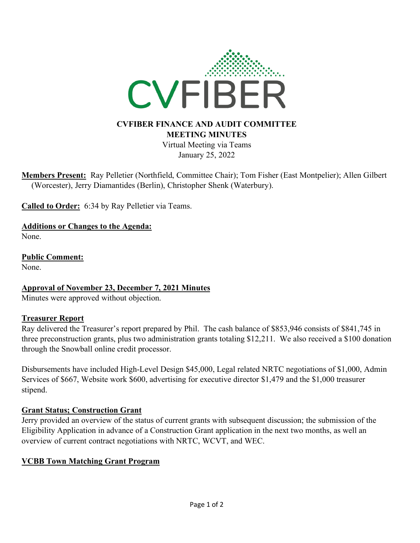

# **MEETING MINUTES**

Virtual Meeting via Teams January 25, 2022

**Members Present:** Ray Pelletier (Northfield, Committee Chair); Tom Fisher (East Montpelier); Allen Gilbert (Worcester), Jerry Diamantides (Berlin), Christopher Shenk (Waterbury).

**Called to Order:** 6:34 by Ray Pelletier via Teams.

**Additions or Changes to the Agenda:** None.

**Public Comment:** None.

**Approval of November 23, December 7, 2021 Minutes**

Minutes were approved without objection.

#### **Treasurer Report**

Ray delivered the Treasurer's report prepared by Phil. The cash balance of \$853,946 consists of \$841,745 in three preconstruction grants, plus two administration grants totaling \$12,211. We also received a \$100 donation through the Snowball online credit processor.

Disbursements have included High-Level Design \$45,000, Legal related NRTC negotiations of \$1,000, Admin Services of \$667, Website work \$600, advertising for executive director \$1,479 and the \$1,000 treasurer stipend.

#### **Grant Status; Construction Grant**

Jerry provided an overview of the status of current grants with subsequent discussion; the submission of the Eligibility Application in advance of a Construction Grant application in the next two months, as well an overview of current contract negotiations with NRTC, WCVT, and WEC.

#### **VCBB Town Matching Grant Program**